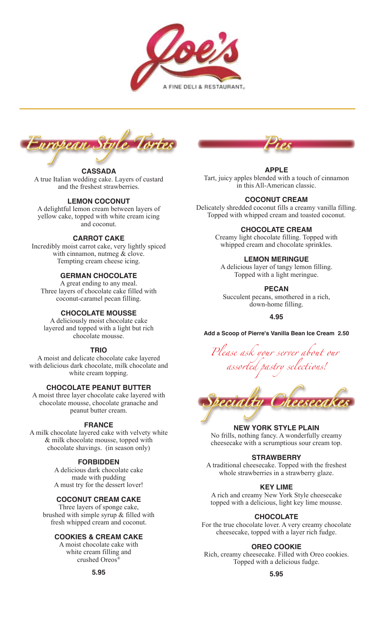



# **CASSADA**

A true Italian wedding cake. Layers of custard and the freshest strawberries.

## **LEMON COCONUT**

A delightful lemon cream between layers of yellow cake, topped with white cream icing and coconut.

## **CARROT CAKE**

Incredibly moist carrot cake, very lightly spiced with cinnamon, nutmeg & clove. Tempting cream cheese icing.

## **GERMAN CHOCOLATE**

A great ending to any meal. Three layers of chocolate cake filled with coconut-caramel pecan filling.

#### **CHOCOLATE MOUSSE**

A deliciously moist chocolate cake layered and topped with a light but rich chocolate mousse.

#### **TRIO**

A moist and delicate chocolate cake layered with delicious dark chocolate, milk chocolate and white cream topping.

## **CHOCOLATE PEANUT BUTTER**

A moist three layer chocolate cake layered with chocolate mousse, chocolate granache and peanut butter cream.

#### **FRANCE**

A milk chocolate layered cake with velvety white & milk chocolate mousse, topped with chocolate shavings. (in season only)

#### **FORBIDDEN**

A delicious dark chocolate cake made with pudding A must try for the dessert lover!

## **COCONUT CREAM CAKE**

Three layers of sponge cake, brushed with simple syrup & filled with fresh whipped cream and coconut.

### **COOKIES & CREAM CAKE**

A moist chocolate cake with white cream filling and crushed Oreos<sup>®</sup>



#### **APPLE**

Tart, juicy apples blended with a touch of cinnamon in this All-American classic.

## **COCONUT CREAM**

Delicately shredded coconut fills a creamy vanilla filling. Topped with whipped cream and toasted coconut.

#### **CHOCOLATE CREAM**

Creamy light chocolate filling. Topped with whipped cream and chocolate sprinkles.

## **LEMON MERINGUE**

A delicious layer of tangy lemon filling. Topped with a light meringue.

# **PECAN**

Succulent pecans, smothered in a rich, down-home filling.

**4.95**

**Add a Scoop of Pierre's Vanilla Bean Ice Cream 2.50**

*Please ask your server about our assorted pastry selections!*



#### **NEW YORK STYLE PLAIN**

No frills, nothing fancy. A wonderfully creamy cheesecake with a scrumptious sour cream top.

#### **STRAWBERRY**

A traditional cheesecake. Topped with the freshest whole strawberries in a strawberry glaze.

#### **KEY LIME**

A rich and creamy New York Style cheesecake topped with a delicious, light key lime mousse.

#### **CHOCOLATE**

For the true chocolate lover. A very creamy chocolate cheesecake, topped with a layer rich fudge.

#### **OREO COOKIE**

Rich, creamy cheesecake. Filled with Oreo cookies. Topped with a delicious fudge.